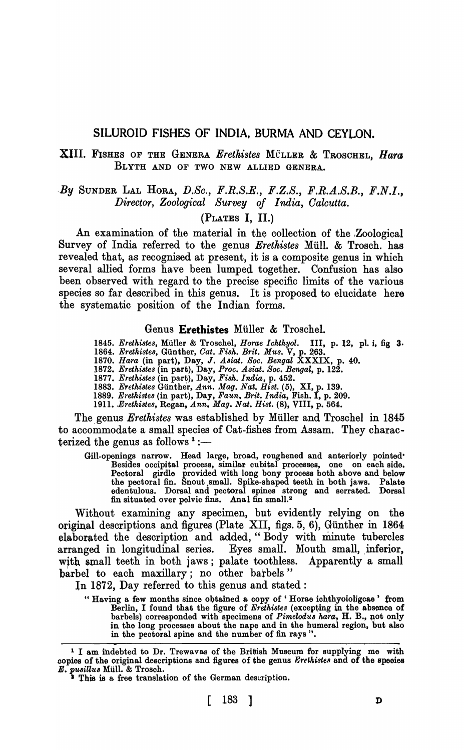# SILUROID FISHES OF INDIA, BURMA AND CEYLON.

# XIII. FISHES OF THE GENERA *Erethistes* MÜLLER & TROSCHEL, *Hara* BLYTH AND OF TWO NEW ALLIED GENERA.

# *,By* SUNDER LAL HORA, *D.Sc., F.R.S.E., F.Z.S., F.R.A.S.B., F.N.I., Director, Zoological Survey of India, Oalcutta.*

# (PLATES I, II.)

An examination of the ma terial in the collection of the ,Zoological Survey of India referred to the genus *Erethistes* Miill. & Trosch. has revealed that, as recognised at present, it is a composite genus in which several allied forms have been lumped together. Confusion has also been observed with regard to the precise specific limits of the various species so far described in this genus. It is proposed to elucidate here the systematic position of the Indian forms.

# Genus Eretbistes Miiller & Troschel.

*1845. Erethistes,* Muller & Troschel, *Horae Ichthyol.* III, p. 12, pI. i, fig 3. 1864. *Erethistes, Günther, Cat. Fish. Brit. Mus.* V, p. 263.

- *1870. Hara* (in part), Day, J. *Asiat. Soc. Bengal* XXXIX, p. 40.
- *1872. Eretkistes* (in part), Day, *Proc. Asiat. Soc. Bengal,* p. 122.
- *1877. Erethistes* (in part), Day, *Fisk. India,* p. 452.
- *1883. Eretkistes* Gunther, *Ann. Mag. Nat. Hist.* (5), XI, p. 139.
- *1889. Eretkistes* (in part), Day, *Faun\_ Brit. India,* Fish. I, p. 209.
- 1911. *,Eretkistes,* Regan, *Ann. Mag. Nat. Hist.* (8), VIII, p. 564.

The genus *Erethistes* was established by Müller and Troschel in 1845 to accommodate a small species of Cat-fishes from Assam. They characterized the genus as follows  $1$ :-

Gill-openings narrow. Head large, broad, roughened and anteriorly pointed· Besides occipital process, similar cubital processes, one on each side. Pectoral girdle provided with long bony process both above and below the pectoral fin. Snout small. Spike-shaped teeth in both jaws. Palate edentulous. Dorsal and pectoral spines strong and serrated. Dorsal fin situated over pelvic fins. Anal fin small.<sup>2</sup>

Without examining any specimen, but evidently relying on the original descriptions and figures (Plate XII, figs. 5, 6), Giinther in 1864 elaborated the description and added, "Body with minute tubercles arranged in longitudinal series. Eyes small. Mouth small, inferior, with small teeth in both jaws; palate toothless. Apparently a small barbel to each maxillary; no other barbels"

In 1872, Day referred to this genus and stated:

" Having a few months since obtained a copy of 'Horae ichthyoioligcae' from Berlin, I found that the figure of *Erethistes* (excepting in the absence of barbels) corresponded with specimens of *Pimelodus hara*, H. B., not only in the long processes about the nape and in the humeral region, but also in the peotoral spine and the number of fin rays".

<sup>&</sup>lt;sup>1</sup> I am indebted to Dr. Trewavas of the British Museum for supplying me with copies of the original descriptions and figures of the genus *Erethistes* and of the species *E. pusillus* Müll. & Trosch. **This is a free translation of the German description.**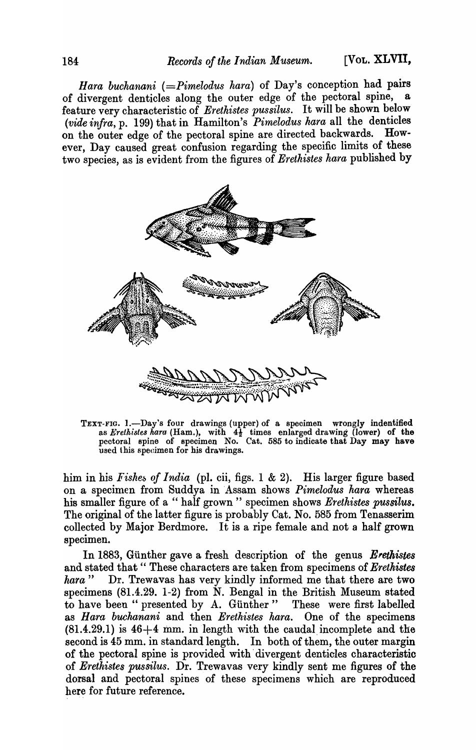*Hara buchanani (=Pimelodus hara)* of Day's conception had pairs of divergent denticles along the outer edge of the pectoral spine, a feature very characteristic of *Erethistes pussilus*. It will be shown below *(vide infra, p. 199)* that in Hamilton's *Pimelodus hara* all the denticles on the outer edge of the pectoral spine are directed backwards. Howon the outer edge of the pectoral spine are directed backwards. ever, Day caused great confusion regarding the specific limits of these two species, as is evident from the figures of Erethistes hara published by



TEXT-FIG. 1.-Day's four drawings (upper) of a specimen wrongly indentified as *Erethistes hara* (Ham.), with  $4\frac{1}{2}$  times enlarged drawing (lower) of the pectoral spine of specimen No. Cat. 585 to indicate that Day may have used this specimen for his drawings.

him in his *Fishes of India* (pI. cii, figs. 1 & 2). His larger figure based on a specimen from Suddya in 'Assam shows *Pimelodus hara* whereas his smaller figure of a " half grown" specimen shows *Erethistes pussilus.*  The original of the latter figure is probably Cat. No. 585 from Tenasserim collected by Major Berdmore. It is a ripe female and not a half grown specimen.

In 1883, Günther gave a fresh description of the genus *Erethistes* and stated that "These characters are taken from specimens of *Erethistes* hara" Dr. Trewavas has very kindly informed me that there are two Dr. Trewavas has very kindly informed me that there are two specimens (81.4.29. 1-2) from N. Bengal in the British Museum stated to have been" presented by A. Gunther" These were first labelled as *Hara buchanani* and then *Erethistes hara*. One of the specimens  $(81.4.29.1)$  is  $46+4$  mm. in length with the caudal incomplete and the second is 45 mm. in standard length. In both of them, the outer margin of the pectoral spine is provided with' divergent denticles characteristic of *Erethistes pussilus.* Dr. Trewavas very kindly sent me figures of the dorsal and pectoral spines of these specimens which are reproduced here for future reference.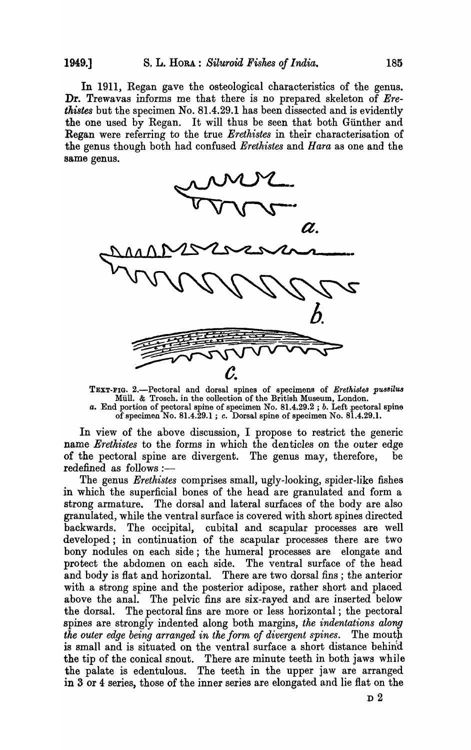In 1911, Regan gave the osteological characteristics of the genus. Dr. Trewavas informs me that there is no prepared skeleton of *Erethistes* but the specimen *No.* 81.4.29.1 has been dissected and is evidently the one used by Regan. It will thus be seen that both Giinther and Regan were referring to the true *Erethistes* in their characterisation of the genus though both had confused *Erethistes* and *Hara* as one and the same genus.



TEXT-FIG. 2.-Pectoral and dorsal spines of specimens of *Erethistes PU83ilus*  Mull. & Trosch. in the collection of the British Museum, London. a. End portion of pectoral spine of specimen No. 81.4.29.2; *b*. Left pectoral spine of specimen No. 81.4.29.1 ; c. Dorsal spine of specimen No. 81.4.29.1.

In view of the above discussion, I propose to restrict the generic name *Eretkistes* to the forms in which the denticles on the outer edge of the pectoral spine are divergent. The genus may, therefore, be redefined as follows :-

The genus *Erethistes* comprises small, ugly-looking, spider-like fishes in which the superficial bones of the head are granulated and form a strong armature. The dorsal and lateral surfaces of the body are also granulated, while the ventral surface is covered with short spines directed backwards. The occipital, cubital and scapular processes are well developed; in continuation of the scapular processes there are two bony nodules on each side; the humeral processes are elongate and protect the abdomen on each side. The ventral surface of the head and body is fiat and horizontal. There are two dorsal fins ; the anterior with a strong spine and the posterior adipose, rather short and placed above the anal. The pelvic fins are six-rayed and are inserted below the dorsal. The pectoral fins are more or less horizontal ; the pectoral spines are strongly indented along both margins, *the indentations along the outer edge being arranged in the form of divergent spines.* The mouth is small and is situated on the ventral surface a short distance behind the tip of the conical snout. There are minute teeth in both jaws while the palate is edentulous. The teeth in the upper jaw are arranged in 3 or 4 series, those of the inner series are elongated and lie flat on the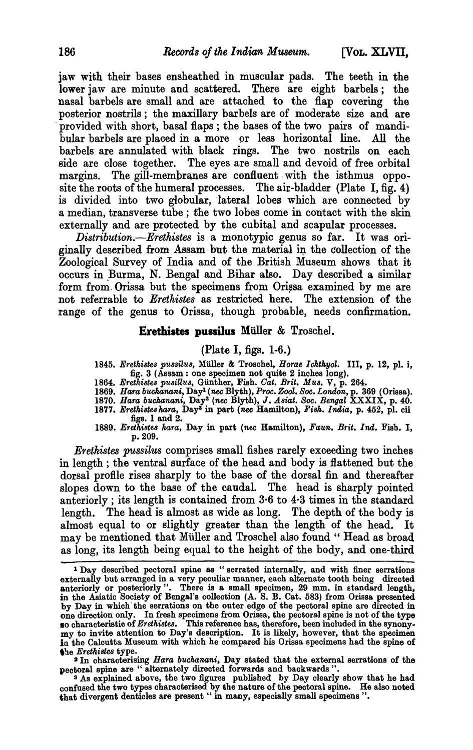jaw with their bases ensheathed in muscular pads. The teeth in the lower jaw are minute and scattered. There are eight barbels; the nasal barbels are small and are attached to the flap covering the posterior nostrils; the maxillary barbels are of moderate size and are provided with short, basal flaps; the bases of the two pairs of mandibular barbels are placed in a more or less horizontal line. All the barbels are annulated with black rings. The two nostrils on each side are close together. The eyes are small and devoid of free orbital margins. The gill-membranes are confluent with the isthmus opposite the roots of the humeral processes. The air-bladder (Plate I,  $\overline{fig}$ , 4) is divided into two globular, lateral lobes which are connected by a median, transverse tube ; the two lobes come in contact with the skin externally and are protected by the cubital and scapular processes.

*Distribution.-Erethistes* is a monotypic genus so far. It was originally described from Assam but the material in the collection of the Zoological Survey of India and of the British Museum shows that it occurs in Burma, N. Bengal and Bihar also. Day described a similar form from Orissa but the specimens from Orissa examined by me are not referrable to *Erethistes* as restricted here. The extension of the range of the genus to Orissa, though probable, needs confirmation.

### Erethistes pU8silus Miiller & Troschel.

### (Plate I, figs. 1-6.)

1845. Erethistes pussilus, Müller & Troschel, *Horae Ichthyol.* III, p. 12, pl. i, fig. 3 (Assam: one speoimen not quite 2 inohes long).

- *1864. Erethi8tes pusillus,* Gunther, Fish. *Oat. Brit. Mus.* V, p. 264.
- *1869. Hara buchanani.,* Dayl *(nee* Blyth), *Proc. Zooz. Soc. London,* p. 369 (Orissa).
- *1870. Hara buckanani,* Day2 *(nee* Blyth), J *.A8iat. Soc. Bengal* XXXIX, p. 40.
- 1877. Erethistes hara, Day<sup>s</sup> in part *(nec* Hamilton), Fish. India, p. 452, pl. cii figs. 1 and 2.
- *1889. Erethiste8 hara,* Day in part *(nee* Hamilton), *Faun. Brit. Ind.* Fisb. I, p.209.

*Erethistes pussilus* comprises small fishes rarely exceeding two inches in length; the ventral surface of the head and body is flattened but the dorsal profile rises sharply to the base of the dorsal fin and thereafter slopes down to the base of the caudal. The head is sharply pointed anteriorly; its length is contained from 3·6 to 4-3 times in the standard length. The head is almost as wide as long. The depth of the body is almost equal to or slightly greater than the length of the head. It may be mentioned that Müller and Troschel also found " Head as broad as long, its length being equal to the height of the body, and one-third

<sup>3</sup> As explained above, the two figures published by Day clearly show that he had confused the two types characterised by the nature of the pectoral spine. He also noted that divergent denticles are present " in many, especially small specimens ".

<sup>&</sup>lt;sup>1</sup> Day described pectoral spine as "serrated internally, and with finer serrations externally but arranged in a very peculiar manner, each alternate tooth being directed anteriorly or posteriorly". There is a small specimen, 29 mm. in standard length, in the Asiatic Society of Bengal's collection (A. S. B. Cat. 583) from Orissa presented by Day in whioh' the serrations on the outer edge of the peotoral spine are direoted in one direotion only. In fresh speoimens from Orissa, the peotoral spine is not of the type 10 characteristic of *Erethi8tes.* This referenoe has, therefore, been inoluded in the synonymy to invite attention to Day's description. It is likely, however, that the specimen in the Calcutta Museum with which he compared his Orissa specimens had the spine of the *Erethistes* type.

<sup>&</sup>lt;sup>2</sup> In characterising *Hara buchanani*, Day stated that the external serrations of the peotoral spine are " alternately direoted forwards and baokwards".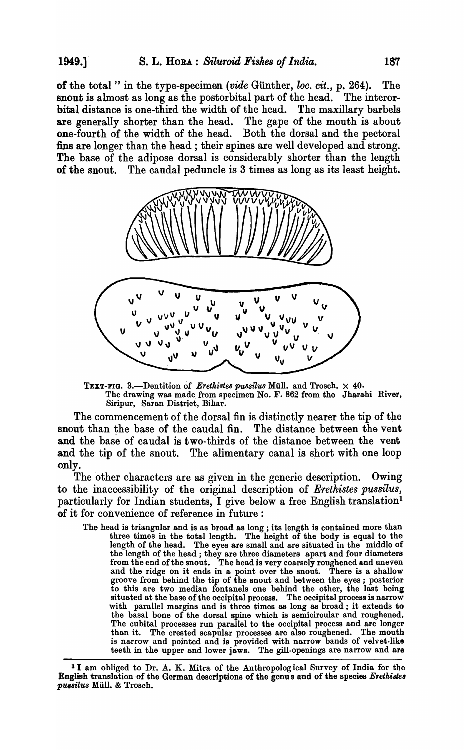of the total" in the type-specimen (vide Günther, *loc. cit.*, p. 264). The snout is almost as long as the postorbital part of the head. The interorbital distance is one-third the width of the head. The maxillary barbels are generally shorter than the head. The gape of the mouth is about one-fourth of the width of the head. Both the dorsal and the pectoral fins are longer than the head; their spines are well developed and strong. The base of the adipose dorsal is considerably shorter than the length of the snout. The caudal peduncle is 3 times as long as its least height.



TEXT-FIG. 3.-Dentition of *Erethistes pussilus* Müll. and Trosch.  $\times$  40. The drawing was made from specimen No. F. 862 from the Jharahi River, Siripur, Saran District, Bihar.

The commencement of the dorsal fin is distinctly nearer the tip of the snout than the base of the caudal fin. The distance between the vent and the base of caudal is two-thirds of the distance between the vent and the tip of the snout. The alimentary canal is short with one loop only.

The other characters are as given in the generic description. Owing to the inaccessibility of the original description of *Erethistes pussilus,*  particularly for Indian students, I give below a free English translation<sup>1</sup> of it for convenience of reference in future:

The head is triangular and is as broad as long; its length is contained more than three times in the total length. The height of the body is equal to the length of the head. The eyes are small and are situated in the middle of the length of the head; they are three diameters apart and four diameters from the end of the snout. The head is very coarsely roughened and uneven and the ridge on it ends in a point over the snout. There is a shallow groove from behind the tip of the snout and between the eyes ; posterior to this are two median fontanels one behind the other, the last being situated at the base of the occipital process. The occipital process is narrow with parallel margins and is three times as long as broad; it extends to the basal bone of the dorsal spine which is semiciroular and roughened. The cubital processes run parallel to the occipital process and are longer than it. The crested scapular processes are also roughened. The mouth is narrow and pointed and is provided with narrow bands of velvet-like teeth in the upper and lower jaws. The gill-openings are narrow and are

<sup>&</sup>lt;sup>1</sup> I am obliged to Dr. A. K. Mitra of the Anthropological Survey of India for the English translation of the German descriptions of the genus and of the species *Erethistes* pussilus Müll. & Trosch.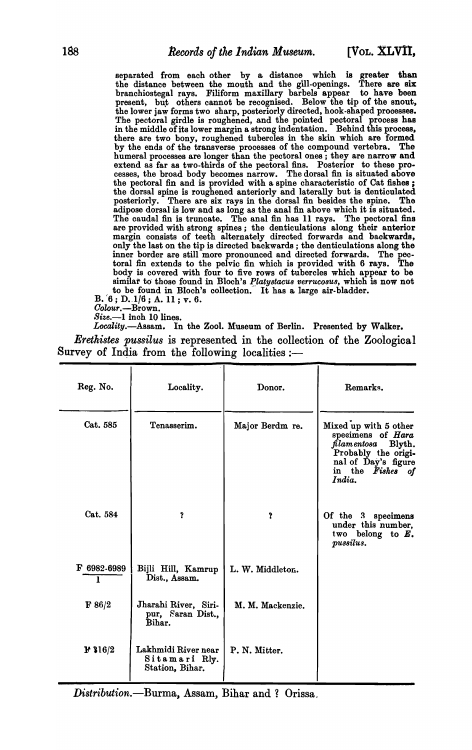separated from each other by a distance which is greater than the distance between the mouth and the gill-openings. There are six branchiostegal rays. Filiform maxillary barbels appear to have been present, but others cannot be recognised. Below the tip of the snout, the lower jaw forms two sharp, posteriorly directed, hook-shaped processes. The pectoral girdle is roughened, and the pointed pectoral process has in the middle of its lower margin a strong indentation. Behind this process, there are two bony, roughened tubercles in the skin whioh are formed by the ends of the transverse processes of the compound vertebra. The humeral processes are longer than the pectoral ones; they are narrow and extend as far as two-thirds of the pectoral fins. Posterior to these processes, the broad body becomes narrow. The dorsal fin is situated above the pectoral fin and is provided with a spine characteristic of Cat fishes ; the dorsal spine is roughened anteriorly and laterally but is denticulated posteriorly. There are six rays in the dorsal fin besides the spine. The adipose dorsal is low and as long as the anal fin above which it is situated. The caudal fin is truncate. The anal fin has 11 rays. The pectoral fins are provided with strong spines; the denticulations along their anterior margin consists of teeth alternately directed forwards and baokwards, only the last on the tip is directed backwards; the denticulations along the inner border are still more pronounced and directed forwards. The peotoral fin extends to the pelvic fin which is provided with 6 rays. The body is covered with four to five rows of tubercles which appear to be similar to those found in Bloch's *Platystacus verrucosus*, which is now not to be found in Bloch's collection. It has a large air-bladder.

 $B. (6; D. 1/6; A. 11; v. 6.$ 

Colour.-Brown.

*Size.-l* inch 10 lines.

*Locality.-Assam.* In the Zoo1. Museum of Berlin. Presented by Walker.

*Erethistes pussilus* is represented in the collection of the Zoological Survey of India from the following localities:-

| Reg. No.            | Locality.                                               | Donor.           | Remarks.                                                                                                                                     |  |  |
|---------------------|---------------------------------------------------------|------------------|----------------------------------------------------------------------------------------------------------------------------------------------|--|--|
| Cat. 585            | Tenasserim.                                             | Major Berdm re.  | Mixed up with 5 other<br>specimens of Hara<br>filamentosa Blyth.<br>Probably the origi-<br>nal of Day's figure<br>in the Fishes of<br>India. |  |  |
| Cat. 584            | $\mathbf{r}$                                            | Y                | Of the 3 specimens<br>under this number,<br>two belong to $E$ .<br>pussilus.                                                                 |  |  |
| $F 6982-6989$<br>1  | Bijli Hill, Kamrup<br>Dist., Assam.                     | L. W. Middleton. |                                                                                                                                              |  |  |
| F 86/2              | Jharahi River, Siri-<br>pur, Saran Dist.,<br>Bihar.     | M. M. Mackenzie. |                                                                                                                                              |  |  |
| $\mathbf{F}$ \$16/2 | Lakhmidi River near<br>Sitamari Rly.<br>Station, Bihar. | P. N. Mitter.    |                                                                                                                                              |  |  |

*Distribution.*-Burma, Assam, Bihar and ? Orissa,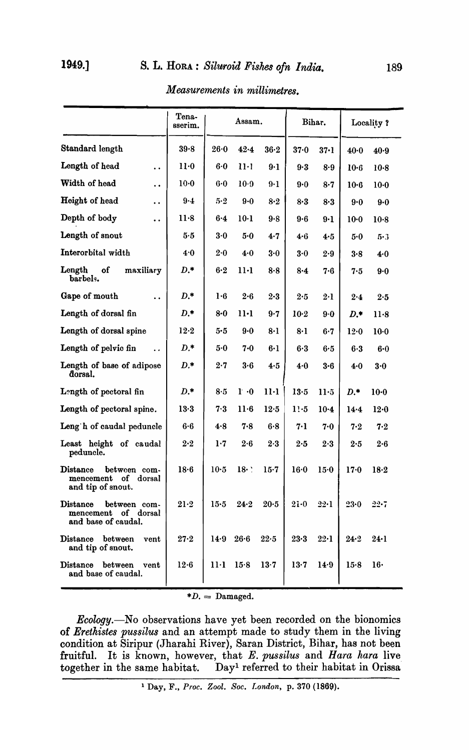# 1949.] s. L. HORA : *Siluroid Fishes ofn India.* 189

|                                                                                       | Tena-<br>sserim. | Assam.  |             |         |              | Bihar.       | Locality? |          |  |
|---------------------------------------------------------------------------------------|------------------|---------|-------------|---------|--------------|--------------|-----------|----------|--|
| Standard length                                                                       | 39.8             | 26.0    | 42.4        | 36.2    | $37-0$       | 37·1         | $40-0$    | 40.9     |  |
| Length of head<br>$\ddot{\phantom{0}}$                                                | $11-0$           | 6·0     | $11-1$      | $9-1$   | 9.3          | 8.9          | $10-6$    | $10-8$   |  |
| Width of head<br>$\ddot{\phantom{0}}$                                                 | $10-0$           | 6.0     | $10-9$      | $9-1$   | 9.0          | $8 - 7$      | $10-6$    | $10-0$   |  |
| Height of head<br>$\ddot{\phantom{0}}$                                                | $9 - 4$          | 5.2     | $9 - 0$     | 8.2     | 8.3          | 8.3          | 9.0       | $9 - 0$  |  |
| Depth of body<br>$\ddot{\phantom{0}}$                                                 | 11.8             | $6 - 4$ | $10-1$      | 9.8     | $9-6$        | $9-1$        | $10-0$    | $10-8$   |  |
| Length of snout                                                                       | 5.5              | 3.0     | 5.0         | 4.7     | 4.6          | 4.5          | 5.0       | 5·3      |  |
| Interorbital width                                                                    | 4.0              | 2.0     | 4.0         | 3.0     | 3.0          | 2.9          | 3.8       | 4.0      |  |
| Length<br>of<br>maxiliary<br>barbels.                                                 | $D.*$            | 6·2     | $11-1$      | 8.8     | 8.4          | 7.6          | 7.5       | 9.0      |  |
| Gape of mouth<br>$\ddot{\phantom{a}}$                                                 | $D.*$            | 1.6     | $2 - 6$     | $2 - 3$ | 2.5          | $2\cdot 1$   | 2.4       | 2.5      |  |
| Length of dorsal fin                                                                  | $D.*$            | 8.0     | $11-1$      | 9.7     | $10-2$       | 9.0          | $D.*$     | $11-8$   |  |
| Length of dorsal spine                                                                | 12.2             | 5.5     | $9 - 0$     | $8-1$   | 8·1          | $6-7$        | 12.0      | $10-0$   |  |
| Length of pelvic fin                                                                  | $D.*$            | 5.0     | 7.0         | 6·1     | 6·3          | 6.5          | 6.3       | $6 - 0$  |  |
| Length of base of adipose<br>dorsal.                                                  | $D.*$            | 2.7     | 3.6         | 4.5     | 4.0          | $3 - 6$      | 4.0       | 3.0      |  |
| Length of pectoral fin                                                                | $D.*$            | 8.5     | $1 \cdot 0$ | 11·1    | 13.5         | $11-5$       | $D.*$     | $10-0$   |  |
| Length of pectoral spine.                                                             | $13-3$           | 7.3     | $11-6$      | 12.5    | $1! \cdot 5$ | $10-4$       | 14.4      | $12-0$   |  |
| Leng h of caudal peduncle                                                             | $6-6$            | 4.8     | 7.8         | 6.8     | 7.1          | 7.0          | 7.2       | 7.2      |  |
| Least height of caudal<br>peduncle.                                                   | 2.2              | 1.7     | 2.6         | 2.3     | 2.5          | 2.3          | 2.5       | $2-6$    |  |
| $\mathbf{Distance}$<br>between com-<br>of<br>mencement<br>dorsal<br>and tip of snout. | 18.6             | $10-5$  | 18.         | $15-7$  | 16.0         | 15.0         | $17 - 0$  | 18.2     |  |
| $\mathbf{Distance}$<br>between com-<br>mencement of dorsal<br>and base of caudal.     | $21-2$           | 15.5    | 24.2        | $20-5$  | $2i-0$       | $22 \cdot 1$ | $23 - 0$  | $22 - 7$ |  |
| Distance between<br>vent<br>and tip of snout.                                         | $27 - 2$         | 14.9    | 26.6        | 22.5    | $23 - 3$     | $22 \cdot 1$ | 24.2      | $24-1$   |  |
| $\mathbf{Distance}$<br>between<br>vent<br>and base of caudal.                         | 12.6             | 11·1    | 15.8        | 13.7    | 13.7         | 14.9         | 15.8      | 16·      |  |

*Measurements in millimetres.* 

 $*D.$  = Damaged.

*Ecology.-No* observations have yet been recorded on the bionomics of *Erethistes pussilus* and an attempt made to study them in the living condition at Siripur (Jharahi River), Saran District, Bihar, has not been fruitful. It is known, however, that *E. pussilus* and *Hara kara* live together in the same habitat. Day<sup>1</sup> referred to their habitat in Orissa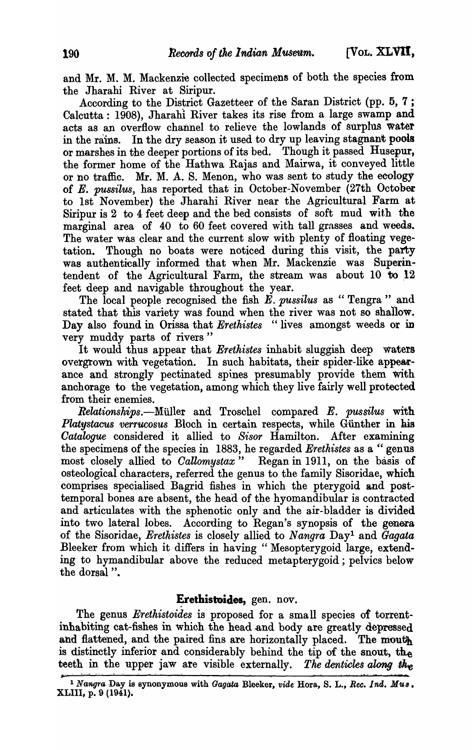and Mr. M. M. Mackenzie collected specimens of both the species from the Jharahi River at Siripur.

According to the District Gazetteer of the Saran District (pp. 5, 7 ; Calcutta: 1908), Jharahl River takes its rise from a large swamp and acts as an overflow channel to relieve the lowlands of surplus water in the rains. In the dry season it used to dry up leaving stagnant pools or marshes in the deeper portions of its bed. Though it passed Husepur, the former home of the Hathwa Rajas and Mairwa, it conveyed little or no traffic. Mr. M. A. S. Menon, who was sent to study the ecology of *E. pussilus,* has reported that in October-November (27th October to 1st November) the Jharahi River near the Agricultural Farm at Siripur is  $2$  to  $4$  feet deep and the bed consists of soft mud with the marginal area of 40 to 60 feet covered with tall grasses and weeds. The water was clear and the current slow with plenty of floating vegetation. Though no boats were noticed during this visit, the party was authentically informed that when Mr. Mackenzie was Superintendent of the Agricultural Farm, the stream was about 10 to 12 feet deep and navigable throughout the year.

The local people recognised the fish E. *pussilus* as "Tengra" and stated that this variety was found when the river was not so shallow. Day also found in Orissa that *Erethistes* "lives amongst weeds or in very muddy parts of rivers"

It would thus appear that *Erethistes* inhabit sluggish deep waters overgrown with vegetation. In such habitats, their spider-like appearance and strongly pectinated spines presumably provide them with anchorage to the vegetation, among which they live fairly well protected from their enemies.

*llewtionships.-Milller* and Troschel compared E. *pussilus* with Platystacus verrucosus Bloch in certain respects, while Günther in his *Oatalogue* considered' it allied to *8'l:sor* Hamilton. Mter examining the specimens of the species in 1883, he regarded *Erethistes* as a " genus most closely allied to *Callomystax*" Regan in 1911, on the basis of osteological characters, referred the genus to the family Sisoridae, which comprises specialised Bagrid fishes in which the pterygoid and posttemporal bones are absent, the heaa of the hyomandibular is contracted and articulates with the sphenotic only and the air-bladder is divided into two lateral lobes. According to Regan's synopsis of the genera of the Sisoridae, *Erethistes* is closely allied to *Nangra* Day! and *Gagata*  Bleeker from which it differs in having "Mesopterygoid large, extending to hymandibular above the reduced metapterygoid; pelvics below the dorsal ".

### Erethistoides, gen. nov.

The genus *Erethistoides* is proposed for a small species of torrentinhabiting cat-fishes in which the head and body are greatly depressed and flattened, and the paired fins are horizontally placed. The mouth is distinctly inferior and considerably behind the tip of the snout, the teeth in the upper jaw are visible externally. The denticles along the

<sup>&</sup>lt;sup>1</sup> Nangra Day is synonymous with *Gagata* Bleeker, *vide* Hora, S. L., *Rec. Ind. Mus.* XLIII, p. 9 (1941).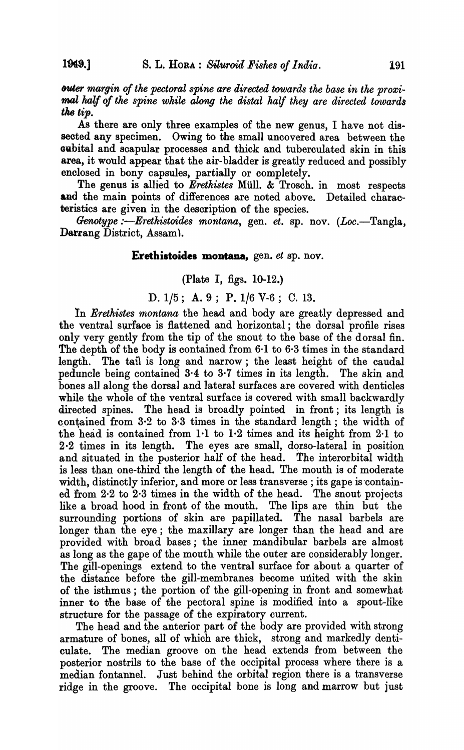*outer margin of the pectoral spine are directed towards the base in the proxi*mal half of the spine while along the distal half they are directed towards the *tip.* 

As there are only three examples of the new genus, I have not dissected any specimen. Owing to the small uncovered area between the oubital and scapular processes and thick and tuberculated skin in this area, it would appear that the air-bladder is greatly reduced and possibly enclosed in bony capsules, partially or completely.

The genus is allied to *Erethistes* Müll. & Trosch. in most respects and the main points of differences are noted above. Detailed characteristics are given in the description of the species.

*Genotype :—Erethistoides montana, gen. et. sp. nov. (Loc.—Tangla,* Darrang District, Assam).

# **Eretbistoides montana,** gen. *et* sp. nov.

# (Plate I, figs. 10-12.)

# D. 1/5; A. 9; P. 1/6 V-6; C. 13.

In *Erethistes montana* the head and body are greatly depressed and the ventral surface is flattened and horizontal; the dorsal profile rises only very gently from the tip of the snout to the base of the dorsal fin. The depth of the body is contained from 6·1 to 6·3 times in the standard length. The tail is long and narrow; the least height of the caudal peduncle being contained 3·4 to 3·7 times in its length. The skin and bones all along the dorsal and lateral surfaces are covered with denticles while the whole of the ventral surface is covered with small backwardly directed spines. The head is broadly pointed in front; its length is contained from  $3.2$  to  $3.3$  times in the standard length; the width of the head is contained from 1·1 to 1·2 times and its height from 2·1 to 2·2 times in its length. The eyes are small, dorso-Iateral in position and situated in the pusterior half of the head. The interorbital width is less than one-third the length of the head. The mouth is of moderate width, distinctly inferior, and more or less transverse; its gape is contained from 2·2 to 2·3 times in the width of the head. The snout projects like a broad hood in front of the mouth. The lips are thin but the surrounding portions of skin are papillated. The nasal barbels are longer than the eye; the maxillary are longer than the head and are provided with broad bases; the inner mandibular barbels are almost as long as the gape of the mouth while the outer are considerably longer. The gill-openings extend to the ventral surface for about a quarter of the distance before the gill-membranes become united with the skin of the isthmus; the portion of the gill-opening in front and somewhat inner to the base of the pectoral spine is modified into a spout-like structure for the passage of the expiratory current.

The head and the anterior part of the body are provided with strong armature of bones, all of which are thick, strong and markedly denticulate. The median groove on the head extends from between the posterior nostrils to the base of the occipital process where there is a median fontannel. Just behind the orbital region there is a transverse ridge in the groove. The occipital bone is long and marrow but just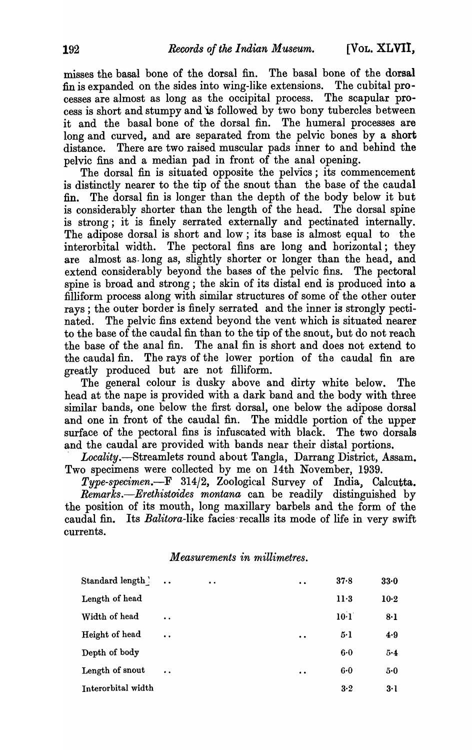misses the basal bone of the dorsal fin. The basal bone of the dorsal fin is expanded on the sides into wing-like extensions. The cubital processes are almost as long as the occipital process. The scapular process is short and stumpy and 'is followed by two bony tubercles between it and the basal bone of the dorsal fin. The humeral processes are long and curved, and are separated from the pelvic bones by a short distance. There are two raised muscular pads inner to and behind the pelvic fins and a median pad in front of the anal opening.

The dorsal fin is situated opposite the pelvics; its commencement is distinctly nearer to the tip of the snout than the base of the caudal fin. The dorsal fin is longer than the depth of the body below it but is considerably shorter than the length of the head. The dorsal spine is strong; it is finely serrated externally and pectinated internally. The adipose dorsal is short and low ; its base is almost equal to the interorbital width. The pectoral fins are long and horizontal; they are almost as· long as, slightly shorter or longer than the head, and extend considerably beyond the bases of the pelvic fins. The pectoral spine is broad and strong; the skin of its distal end is produced into a filliform process along with similar structures of some of the other outer rays; the outer border is finely serrated and the inner is strongly pectinated. The pelvic fins extend beyond the vent which is situated nearer to the base of the caudal fin than to the tip of the snout, but do not reach the base of the anal fin. The anal fin is short and does not extend to the caudal fin. The rays of the lower portion of the caudal fin are greatly produced but are not filliform.

The general colour is dusky above and dirty white below. The head at the nape is provided with a dark band and the body with three similar bands, one below the first dorsal, one below the adipose dorsal and one in front of the caudal fin. The middle portion of the upper surface of the pectoral fins is infuscated with black. The two dorsals and the caudal are provided with bands near their distal portions.

*. Locality.-Streamlets* round about Tangla, Darrang District, Assam. Two specimens were collected by me on 14th November, 1939.

*Type-specimen.-F* 314/2, Zoological Survey of India, Calcutta. *Remarks.-Erethistoides montana* can be readily distinguished by the position of its mouth, long maxillary barbels and the form of the caudal fin. Its *Balitora-like* facies-recalls its mode of life in very swift currents.

*Measurements in millimetres.* 

| Standard length    | $\dddot{\phantom{1}}$ | $\bullet$ | $\bullet\hspace{0.1cm} \bullet\hspace{0.1cm}$ | 37.8    | 33.0   |
|--------------------|-----------------------|-----------|-----------------------------------------------|---------|--------|
| Length of head     |                       |           |                                               | $11-3$  | $10-2$ |
| Width of head      | $\ddot{\phantom{a}}$  |           |                                               | 10·1    | $8-1$  |
| Height of head     | $\ddot{\phantom{a}}$  |           | $\bullet\hspace{1mm}\bullet\hspace{1mm}$      | $5-1$   | 4.9    |
| Depth of body      |                       |           |                                               | 6.0     | 5.4    |
| Length of snout    | $\ddot{\phantom{a}}$  |           | $\bullet$ $\bullet$                           | $6 - 0$ | $5-0$  |
| Interorbital width |                       |           |                                               | 3·2     | $3-1$  |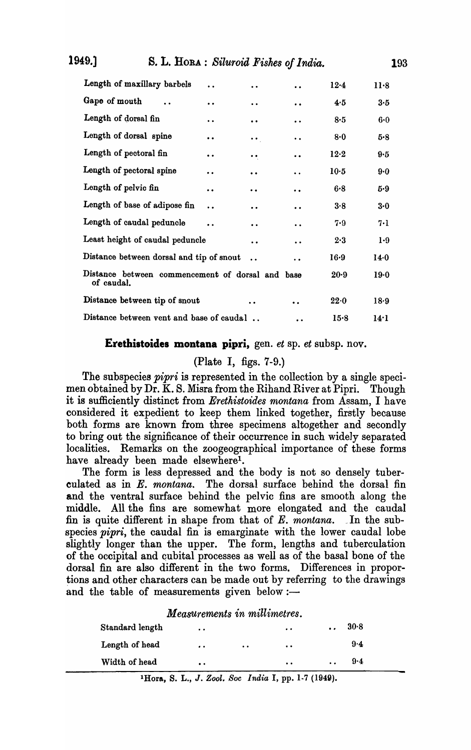| Length of maxillary barbels                               | $\ddot{\phantom{a}}$ | $\cdot$ $\cdot$       | $\ddot{\phantom{0}}$ | $12-4$ | $11-8$  |
|-----------------------------------------------------------|----------------------|-----------------------|----------------------|--------|---------|
| Gape of mouth                                             | $\ddot{\phantom{0}}$ | $\ddot{\phantom{0}}$  | $\bullet$            | 4.5    | 3·5     |
| Length of dorsal fin                                      | $\bullet\bullet$     | $\bullet$             | $\ddot{\phantom{1}}$ | 8.5    | $6 - 0$ |
| Length of dorsal spine                                    | $\bullet\bullet$     | $\bullet$ $\bullet$ . | . .                  | $8-0$  | 5.8     |
| Length of pectoral fin                                    | $\bullet\bullet$     | $\bullet\; \bullet$   | $\bullet$            | $12-2$ | 9.5     |
| Length of pectoral spine                                  | $\ddot{\phantom{0}}$ | $\ddot{\phantom{a}}$  | $\ddot{\phantom{0}}$ | $10-5$ | 9.0     |
| Length of pelvic fin                                      | . .                  | . .                   | $\bullet$            | 6.8    | 5.9     |
| Length of base of adipose fin                             | $\ddot{\phantom{a}}$ | $\bullet$             | $\bullet\bullet$     | 3.8    | $3-0$   |
| Length of caudal peduncle                                 |                      | $\ddot{\phantom{0}}$  | $\bullet$            | 7.9    | 7.1     |
| Least height of caudal peduncle                           |                      | $\ddot{\phantom{a}}$  | $\ddot{\phantom{0}}$ | 2.3    | $1-9$   |
| Distance between dorsal and tip of snout                  |                      |                       | $\ddot{\phantom{0}}$ | $16-9$ | $14-0$  |
| Distance between commencement of dorsal and<br>of caudal. |                      |                       | base                 | 20.9   | $19-0$  |
| Distance between tip of snout                             |                      | $\ddot{\phantom{0}}$  | $\bullet\bullet$     | 22.0   | 18.9    |
| Distance between vent and base of caudal.                 |                      |                       | $\bullet\bullet$     | 15.8   | 14·1    |

# Erethistoides montana pipri, gen. *et* sp. *et* subsp. nov.

# (Plate I, figs. 7-9.)

The subspecies *pipri* is represented in the collection by a single specimen obtained by Dr. K. S. Misra from the Rihand River at Pipri. Though it is sufficiently distinct from *Erethistoides montana* from Assam, I have considered it expedient to keep them linked together, firstly because both forms are known from three specimens altogether and secondly to bring out the significance of their occurrence in such widely separated localities. Remarks on the zoogeographical importance of these forms have already been made elsewhere<sup>1</sup>.

The form is less depressed and the body is not so densely tuberculated as in E. *montana.* The dorsal surface behind the dorsal fin and the ventral surface behind the pelvic fins are smooth along the middle. All the fins are somewhat more elongated and the caudal fin is quite different in shape from that of E. *montana.* \_In the subspecies *pipri,* the caudal fin is emarginate with the lower caudal lobe slightly longer than the upper. The form, lengths and tuberculation of the occipital and Qubital processes as well as of the basal bone of the dorsal fin are also different in the two forms. Differences in proportions and other characters can be made out by referring to the drawings and the table of measurements given below :-

*Measurements in millimetres.* 

| Standard length | $\bullet$        |                  | $\bullet\bullet$ | $\bullet\,\bullet$  | 30.8 |
|-----------------|------------------|------------------|------------------|---------------------|------|
| Length of head  | $\bullet\bullet$ | $\bullet\bullet$ | $\bullet$        |                     | 9·4  |
| Width of head   | $\bullet$        |                  | $\bullet\bullet$ | $\bullet$ $\bullet$ | 9·4  |

lHora, S. L., J. *Zool. Soc India* I, pp. 1·7 (194g).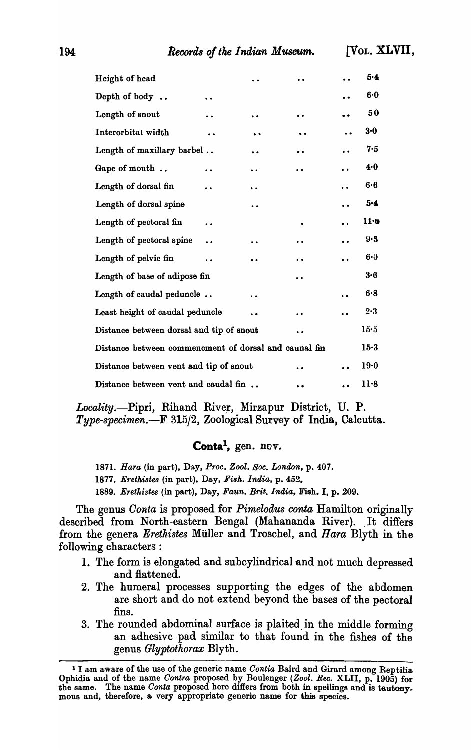| Height of head                                        |                      |                      |                      |                      | 5.4     |
|-------------------------------------------------------|----------------------|----------------------|----------------------|----------------------|---------|
| Depth of body                                         |                      |                      |                      |                      | 6.0     |
| Length of snout                                       | $\bullet$            | $\ddot{\phantom{1}}$ |                      |                      | 50      |
| Interorbital width                                    | $\ddot{\phantom{0}}$ |                      |                      | $\ddot{\phantom{0}}$ | $3 - 0$ |
| Length of maxillary barbel                            |                      | $\ddot{\phantom{0}}$ | $\bullet\bullet$     |                      | 7.5     |
| Gape of mouth                                         |                      | $\ddot{\phantom{0}}$ | $\ddot{\phantom{0}}$ | $\ddot{\phantom{0}}$ | 4.0     |
| Length of dorsal fin                                  | $\ddot{\phantom{a}}$ | $\ddot{\phantom{1}}$ |                      | $\ddot{\phantom{0}}$ | $6 - 6$ |
| Length of dorsal spine                                |                      | $\ddot{\phantom{0}}$ |                      | $\ddot{\phantom{0}}$ | 5.4     |
| Length of pectoral fin                                | $\ddot{\phantom{0}}$ |                      |                      | $\ddot{\phantom{0}}$ | 11:0    |
| Length of pectoral spine                              | . .                  |                      | $\ddot{\phantom{0}}$ |                      | 9.5     |
| Length of pelvic fin                                  |                      |                      |                      |                      | 6.0     |
| Length of base of adipose fin                         |                      |                      |                      |                      | 3.6     |
| Length of caudal peduncle                             |                      |                      |                      |                      | 6.8     |
| Least height of caudal peduncle                       |                      |                      |                      |                      | $2 - 3$ |
| Distance between dorsal and tip of snout              |                      |                      | $\ddot{\phantom{0}}$ |                      | 15.5    |
| Distance between commencment of dorsal and caunal fin |                      |                      |                      |                      | $15-3$  |
| Distance between vent and tip of snout                |                      |                      |                      |                      | 19.0    |
| Distance between vent and caudal fin                  |                      |                      |                      |                      | $11-8$  |

Locality.-Pipri, Rihand River, Mirzapur District, U. P. *Type-specimen.-F* 315/2, Zoological Survey of India, Calcutta.

# Conta<sup>1</sup>, gen. nev.

1871. *Hara* (in part), Day, Proc. Zool. Soc. London, p. 407. 1877. Erethistes (in part), Day, Fish. India, p. 452. *1889. Erethistes* (in part), Day, *Faun. Brit. India,* Fish. I, p. 209.

The genus *Conta* is proposed for *Pimelodus conta* Hamilton originally described from North-eastern Bengal (Mahananda River). It differs from the genera *Erethistes* Muller and Troschel, and *Hara* Blyth in the following characters :

- 1. The form is elongated and subcylindrical and not much depressed and flattened.
- 2. The humeral processes supporting the edges of the abdomen are short and do not extend beyond the bases of the pectoral fins.
- 3. The rounded abdominal surface is plaited in the middle forming an adhesive pad similar to that found in the fishes of the genus *Glyptothorax* Blyth.

<sup>1</sup> I am aware of the use of the generic name *Oontia* Baird and Girard among Reptilia Ophidia. and of the name *Oontra* proposed by Boulenger *(Zool. Ree.* XLII, p. 1905) for the same. The name *Conta* proposed here differs from both in spellings and is tautony. mous and, therefore, a very appropriate generio name for this species.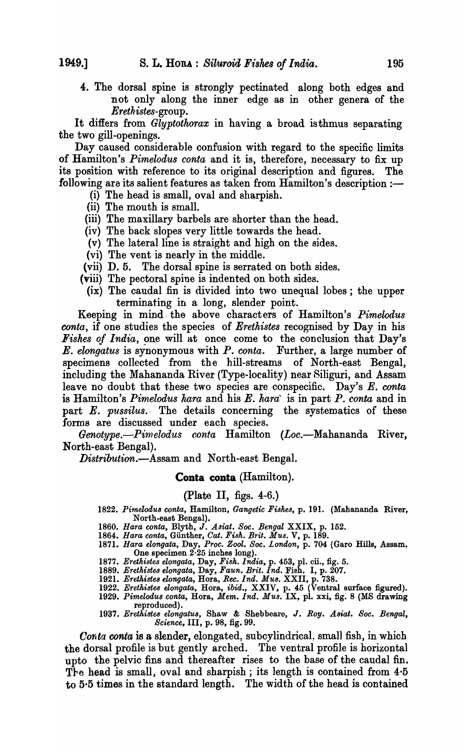4. The dorsal spine is strongly pectinated along both edges and not only along the inner edge as in other genera of the *Erethistes-group.* 

It differs from *Glyptothorax* in having a broad isthmus separating the two gill-openings.

Day caused considerable confusion with regard to the specific limits of Hamilton's *Pimelodus conta* and it is, therefore, necessary to fix up its position with reference to its original description and figures. The following are its salient features as taken from Hamilton's description  $:$ 

- (i) The head is small, oval and sharpish.
- (ii) The mouth is small.
- (iii) The maxillary barbels are shorter than the head.
- (iv) The back slopes very little towards the head.
- (v) The lateral line is straight and high on the sides.
- (vi) The vent is nearly in the middle.
- (vii) D.5. The dorsal spine is serrated on both sides.
- (viii) The pectoral spine is indented on both sides.
	- (ix) The caudal fin is divided into two unequal lobes; the upper terminating in a long, slender point.

Keeping in mind· the above characters of Hamilton's *Pimelodus conta*, if one studies the species of *Erethistes* recognised by Day in his Fishes of India, one will at once come to the conclusion that Day's E. *elongatus* is synonymous with *P. conta.* Further, a large number of specimens collected from the hill-streams of North-east Bengal, including the Mahananda River (Type-locality) near Siliguri, and Assam leave no doubt that these two species are conspecific. Day's E. conta is Hamilton's *Pimelodus nara* and his *E. nara'* is in part *P. conta* and in part *E. pussilus.* The details concerning the systematics of these forms are discussed under each species.

Genotype.-Pimelodus conta Hamilton (Loc.-Mahananda River, North-east Bengal).

*Distribution.-Assam* and North-east Bengal.

#### Conta conta (Hamilton).

#### (Plate II, figs. 4-6.)

- *1822. Pimelodu8 coma,* Hamilton, *Gangetic Fi8hes,* p. 191. (Mahananda River, North-east Bengal).
- *1860. Hara conta,* Blyth, J. *Asiat. Soc. Bengal* XXIX, p. 152.
- *1864. Hara conta,* Gunther, *Cat. Fish. Brit. Mus.* V, p. 189.
- 1871. *Hara elongata,* Day, *Proc. Zool. Soc. London,* p. 704 (Garo Hills, Assam. One specimen 2·25 inches long).
- *1877. Erethistes elongata,* Day, *Fish. India,* p. 453, pl. cil., fig. 5.
- *1889. Erethistes elongata,* Day, *Faun. Brit. Ind.* Fish. I, p. 201.
- *1921. Erethistes elongata,* Hora, *Ree. Ind. MUB.* XXII, p. 738.
- *1922. Erethiste8 elongata,* Hora, *ibid.,* XXIV, p. 45 (Ventral surface figured). *1929. Pimelodu8 conta,* Hora, *Mem. Ind. Mus.* IX, pl. xxi, fig. 8 (MS drawing reproduced).
- *1937. Erethistes elongatu8,* Shaw & Shebbeare, J. *Roy. A8iat. Soc. Bengal, Science,* III, p. 98, fig. 99.

Conta conta is a slender, elongated, subcylindrical, small fish, in which the dorsal profile is but gently arched. The ventral profile is horizontal upto the pelvic fins and thereafter rises to the base of the caudal fin. The head is small, oval and sharpish; its length is contained from  $4.5$ to 5·5 times in the standard length. The width of the head is contained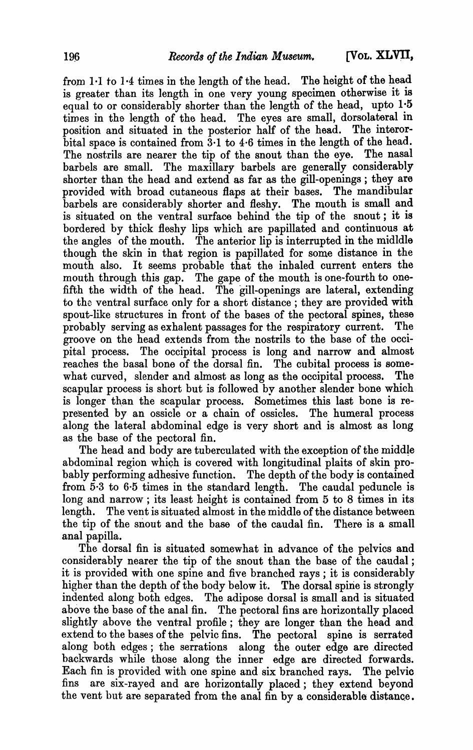from  $1.1$  to  $1.4$  times in the length of the head. The height of the head is greater than its length in one very young specimen otherwise it is equal to or considerably shorter than the length of the head, upto  $1.5$ times in the length of the head. The eyes are small, dorsolateral in position and situated in the posterior half of the head. The interorbital space is contained from 3·1 to 4·6 times in the length of the head. The nostrils are nearer the tip of the snout than the eye. The nasal barbels are small. The maxillary barbels are generally considerably shorter than the head and extend as far as the gill-openings; they are provided with broad cutaneous flaps at their bases. The mandibular barbels are considerably shorter and fleshy. The mouth is small and is situated on the ventral surface behind the tip of the snout; it is bordered by thick fleshy lips which are papillated and continuous at the angles of the mouth. The anterior lip is interrupted in the midldle though the skin in that region is papillated for some distance in the mouth also. It seems probable that the inhaled current enters the mouth through this gap. The gape of the mouth is one-fourth to onefifth the width of the head. The gill-openings are lateral, extending to the ventral surface only for a short distance ; they are provided with spout-like structures in front of the bases of the pectoral spines, these probably serving as exhalent passages for the respiratory current. The groove on the head extends from the nostrils to the base of the occipital process. The occipital process is long and narrow and almost reaches the basal bone of the dorsal fin. The cubital process is somewhat curved, slender and almost as long as the occipital process. The scapular process is short but is followed by another slender bone which is longer than the scapular process. Sometimes this last bone is represented by an ossicle or a chain of ossicles. The humeral process along the lateral abdominal edge is very short and is almost as long as the base of the pectoral fin.

The head and body are tuberculated with the exception of the middle abdominal region which is covered with longitudinal plaits of skin probably performing adhesive function. The depth of the body is contained from 5·3 to 6·5 times in the standard length. The caudal peduncle is long and narrow; its least height is contained from 5 to 8 times in its length. The vent is situated almost in the middle of the distance between the tip of the snout and the base of the caudal fin. There is a small anal papilla.

The dorsal fin is situated somewhat in advance of the pelvics and considerably nearer the tip of the snout than the base of the caudal; it is provided with one spine and five branched rays; it is considerably higher than the depth of the body below it. The dorsal spine is strongly indented along both edges. The adipose dorsal is small and is situated above the base of the anal fin. The pectoral fins are horizontally placed slightly above the ventral profile; they are longer than the head and extend to the bases of the pelvic fins. The pectoral spine is serrated along both edges; the serrations along the outer edge are directed backwards while those along the inner edge are directed forwards. Each fin is provided with one spine and six branched rays. The pelvic fins are six-rayed and are horizontally placed; they extend beyond the vent but are separated from the anal fin by a considerable distance.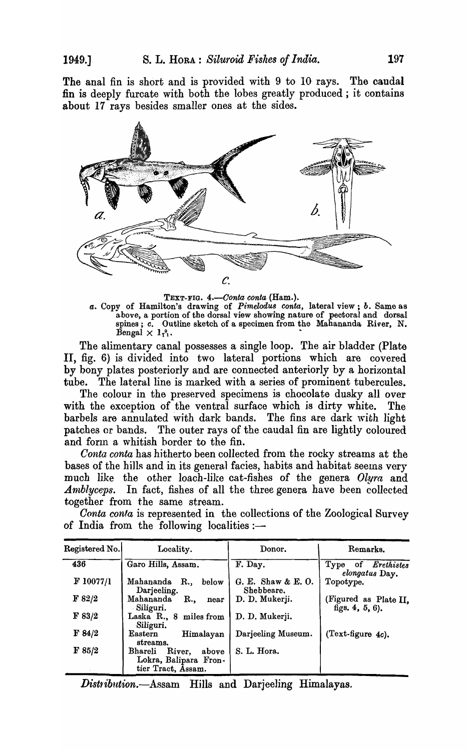The anal fin is short and is provided with 9 to 10 rays. The caudal fin is deeply furcate with both the lobes greatly produced; it contains about 17 rays besides smaller ones at the sides.



TEXT-FIG. 4.-Conta conta (Ham.).

*a.* Copy of Hamilton's drawing of *Pimelod'u8 conta,* lateral view; *b.* Same as above, a portion of the dorsal view showing nature of pectoral and dorsal spines; *c.* Outline sketch of a specimen from the Mahananda, River, N.  $\beta$ engal  $\times$   $1_{1}^{9}$ .

The alimentary canal possesses a single loop. The air bladder (Plate II, fig. 6) is divided into two lateral portions which are covered by bony plates posteriorly and are connected anteriorly by a horizontal tube. The lateral line is marked with a series of prominent tubercules.

The colour in the preserved specimens is chocolate dusky all over with the exception of the ventral surface which *is* dirty white. The barbels are annulated with dark bands. The fins are dark with light patches or bands. The outer rays of the caudal fin are lightly coloured and form a whitish border to the fin.

*Conta conta* has hitherto been collected from the rocky streams at the bases of the hills and in its general facies, habits and habitat seems very much like the other loach-like cat-fishes of the genera *Olyra* and Amblyceps. In fact, fishes of all the three genera have been collected together from the same stream.

| Registered No. | Locality.                                                                        | Donor.                           | Remarks.                                 |
|----------------|----------------------------------------------------------------------------------|----------------------------------|------------------------------------------|
| 436            | Garo Hills, Assam.                                                               | F. Day.                          | Type of Erethistes<br>elongatus Day.     |
| F 10077/l      | Mahananda<br>R.,<br>below<br>Darjeeling.                                         | G. E. Shaw & E. O.<br>Shebbeare. | Topotype.                                |
| $\bf{F}$ 82/2  | Mahananda<br>R.,<br>near<br>Siliguri.                                            | D. D. Mukerji.                   | (Figured as Plate II, figs. $4, 5, 6$ ). |
| F 83/2         | Laska R., 8 miles from<br>Siliguri.                                              | D. D. Mukerji.                   |                                          |
| F 84/2         | Eastern<br>Himalayan<br>streams.                                                 | Darjeeling Museum.               | $(Text-figure 4c)$ .                     |
| $\bf{F}$ 85/2  | River,<br><b>Bhareli</b><br>above<br>Lokra, Balipara Fron-<br>tier Tract, Assam. | S. L. Hora.                      |                                          |

*Gonta conta* is represented in the collections of the Zoological Survey of India from the following localities: $-$ 

*Distribution.*—Assam Hills and Darjeeling Himalayas.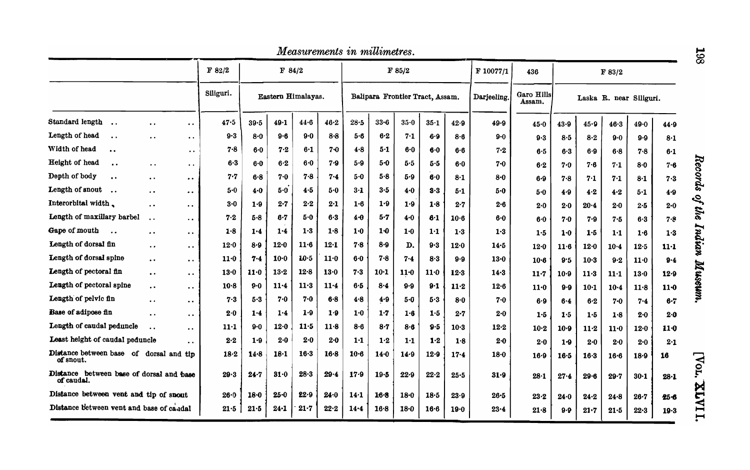|                                                       |                                               |                                                                     |           |          |                    |        |          | Measurements in millimetres. |          |                                 |          |          |            |                      |          |          |              |                         |          |
|-------------------------------------------------------|-----------------------------------------------|---------------------------------------------------------------------|-----------|----------|--------------------|--------|----------|------------------------------|----------|---------------------------------|----------|----------|------------|----------------------|----------|----------|--------------|-------------------------|----------|
|                                                       |                                               |                                                                     | F 82/2    |          | F 84/2             |        |          |                              |          | F 85/2                          |          |          | F 10077/1  | 436                  |          |          | F 83/2       |                         |          |
|                                                       |                                               |                                                                     | Siliguri. |          | Eastern Himalayas. |        |          |                              |          | Balipara Frontier Tract, Assam. |          |          | Darjeeling | Garo Hills<br>Assam. |          |          |              | Laska R. near Siliguri. |          |
| Standard length                                       | $\ddot{\phantom{0}}$                          | $\bullet$ $\bullet$                                                 | 47.5      | 39.5     | 49.1               | $44-6$ | $46 - 2$ | $28 - 5$                     | $33 - 6$ | $35-0$                          | $35-1$   | 42.9     | 49.9       | 45.0                 | $43 - 9$ | 45.9     | 46.3         | 49.0                    | 44.9     |
| Length of head<br>$\ddot{\phantom{a}}$                | $\ddot{\phantom{a}}$                          | $\ddot{\phantom{a}}$                                                | $9-3$     | $8 - 0$  | $9 - 6$            | 9.0    | $8 - 8$  | $5-6$                        | $6-2$    | 7.1                             | 6.9      | 8.6      | $9 - 0$    | 9.3                  | 8.5      | 8.2      | 9.0          | $9 - 9$                 | $8-1$    |
| Width of head<br>$\bullet$                            |                                               | $\ddot{\phantom{0}}$                                                | $7 - 8$   | $6-0$    | 7.2                | 6.1    | $7 - 0$  | 4.8                          | $5-1$    | 6.0                             | $6-0$    | $6-6$    | 7.2        | 6.5                  | 6.3      | 6.9      | $6 - 8$      | $7 - 8$                 | $6-1$    |
| Height of head                                        | $\ddot{\phantom{0}}$                          | $\ddot{\phantom{0}}$                                                | $6-3$     | 6·0      | 6.2                | 6.0    | 7.9      | 5.9                          | 5-0      | $5.5$                           | $5 - 5$  | 6.0      | $7 - 0$    | 6.2                  | $7 - 0$  | 7.6      | 7.1          | $8-0$                   | 7.6      |
| Depth of body<br>$\ddot{\bullet}$                     | $\bullet$ $\bullet$                           | $\ddot{\phantom{0}}$                                                | 7.7       | $6 - 8$  | $7 - 0$            | 7.8    | $7 - 4$  | 5.0                          | 5.8      | 5.9                             | 6.0      | 8-1      | $8-0$      | 6.9                  | 7.8      | 7.1      | $7-1$        | $8-1$                   | 7.3      |
| Length of snout                                       | $\bullet\hspace{0.4mm} \bullet\hspace{0.4mm}$ | $\bullet\hspace{0.4mm}\bullet\hspace{0.4mm}$                        | $5 - 0$   | 4.0      | $5-0$              | 4.5    | 5.0      | $3-1$                        | $3-5$    | 4.0                             | 3.3      | 5-1      | 5.0        | 5.0                  | 4.9      | 4.2      | 4.2          | $5-1$                   | 4.9      |
| Interorbital width.                                   | $\ddot{\phantom{0}}$                          | $\ddot{\phantom{a}}$                                                | $3 - 0$   | 1.9      | $2 - 7$            | 2.2    | 2.1      | 1.6                          | 1.9      | 1.9                             | 1.8      | 2.7      | 2.6        | 2∙0                  | 2.0      | $20 - 4$ | 2.0          | 2.5                     | 2.0      |
| Length of maxillary barbel                            | $\ddot{\phantom{0}}$                          | $\bullet\hspace{0.4mm} \bullet\hspace{0.4mm} \bullet\hspace{0.4mm}$ | 7.2       | $5 - 8$  | $6-7$              | 5.0    | $6-3$    | $4-0$                        | 5.7      | 4.0                             | 6.1      | $10-6$   | $6-0$      | 6.0                  | 7.0      | 7.9      | 7.5          | 6.3                     | 7.8      |
| Gape of mouth<br>$\ddot{\phantom{a}}$                 | $\cdot$                                       | $\bullet$                                                           | 1.8       | 1.4      | 1.4                | 1.3    | 1.8      | 1.0                          | $1-0$    | 1·0                             | $1 - 1$  | 1.3      | 1.3        | 1.5                  | $1-0$    | 1.5      | 1·1          | 1.6                     | $1-3$    |
| Length of dorsal fin                                  | $\ddot{\phantom{0}}$                          |                                                                     | 12.0      | 8.9      | 12.0               | $11-6$ | 12.1     | 7.8                          | $8 - 9$  | D.                              | 9.3      | 12.0     | 14.5       | $12 - 0$             | 11.6     | $12 - 0$ | $10 - 4$     | 12.5                    | $11-1$   |
| Length of dorsal spine                                | $\bullet$ $\bullet$                           | $\bullet\hspace{0.4mm}\bullet\hspace{0.4mm}$                        | 11.0      | 7.4      | $10-0$             | 10.5   | 11.0     | $6-0$                        | 7.8      | 7.4                             | 8.3      | $9-9$    | 13.0       | $10-6$               | 9.5      | $10-3$   | 9.2          | 11.0                    | $9 - 4$  |
| Length of pectoral fin                                | $\bullet$ $\bullet$                           | $\bullet\bullet$                                                    | $13-0$    | 11.0     | 13.2               | 12.8   | 13.0     | 7.3                          | $10-1$   | 11 <sub>0</sub>                 | 11.0     | $12-3$   | $14-3$     | $11 - 7$             | $10 - 9$ | $11-3$   | $11 \cdot 1$ | 13.0                    | 12.9     |
| Length of pectoral spine                              | $\ddot{\phantom{0}}$                          | $\ddot{\phantom{0}}$                                                | $10-8$    | $9-0$    | $11 - 4$           | $11-3$ | 11.4     | 6.5                          | 8.4      | $9-9$                           | 9.1      | $11-2$   | 12.6       | $11 - 0$             | $9-9$    | $10 - 1$ | $10 - 4$     | 11.8                    | $11-0$   |
| Length of pelvic fin                                  | $\bullet$ $\bullet$                           | $\bullet\bullet$                                                    | $7 - 3$   | 5.3      | 7.0                | 7.0    | $6-8$    | 4.8                          | 4.9      | $5-0$                           | 5.3      | 8.0      | 7.0        | 6.9                  | 6.4      | 6.2      | $7 - 0$      | 7.4                     | $6 - 7$  |
| Base of adipose fin                                   | $\ddot{\phantom{0}}$                          | $\bullet\; \bullet$                                                 | 2.0       | 1.4      | 1.4                | 1.9    | 1.9      | 1.0                          | 1.7      | 1.6                             | $1-5$    | $2 - 7$  | 2∙0        | 1.5                  | 1.5      | 1.5      | 1.8          | $2 - 0$                 | $2 - 0$  |
| Length of caudal peduncle                             | . .                                           |                                                                     | 11·1      | $9 - 0$  | $12 - 0$           | 11.5   | $11-8$   | 8.6                          | $8-7$    | $8 - 6$                         | 9.5      | $10-3$   | $12 - 2$   | $10 - 2$             | $10 - 9$ | $11-2$   | 11.0         | 12.0                    | $11-0$   |
| Least height of caudal peduncle                       |                                               |                                                                     | 2.2       | 1.9      | $2 - 0$            | 2.0    | $2-0$    | 1:1                          | 1.2      | 1·1                             | 1.2      | 1.8      | $2-0$      | 2.0                  | $1-9$    | 2.0      | 2.0          | 2.0                     | $2-1$    |
| Distance between base of dorsal and tip<br>of snout.  |                                               |                                                                     | 18.2      | 14.8     | 18.1               | $16-3$ | $16-8$   | $10-6$                       | 14.0     | 14.9                            | 12.9     | $17 - 4$ | 18.0       | 16.9                 | $16 - 5$ | $16-3$   | $16-6$       | $18-9$                  | 16       |
| Distance between base of dorsal and base<br>of caudal |                                               |                                                                     | 29.3      | 24.7     | 31.0               | 28.3   | 29.4     | $17 - 9$                     | $19-5$   | 22.9                            | 22.2     | $25 - 5$ | 31.9       | $28 - 1$             | 27.4     | $29 - 6$ | 29.7         | $30 - 1$                | $28 - 1$ |
| Distance between vent and tip of snout                |                                               |                                                                     | 26.0      | $18 - 0$ | $25 - 0$           | 22.9   | 24.0     | 14.1                         | $16-8$   | 18.0                            | $18-5$   | 23.9     | 26.5       | 23.2                 | $24 - 0$ | 24.2     | $24 - 8$     | $26 - 7$                | $25 - 6$ |
| Distance between vent and base of caudal              |                                               |                                                                     | 21.5      | 21.5     | $24 - 1$           | 21.7   | 22.2     | $14 - 4$                     | 16.8     | 18.0                            | $16 - 6$ | 19.0     | $23 - 4$   | 21.8                 | 9.9      | 21.7     | $21 - 5$     | 22.3                    | $19-3$   |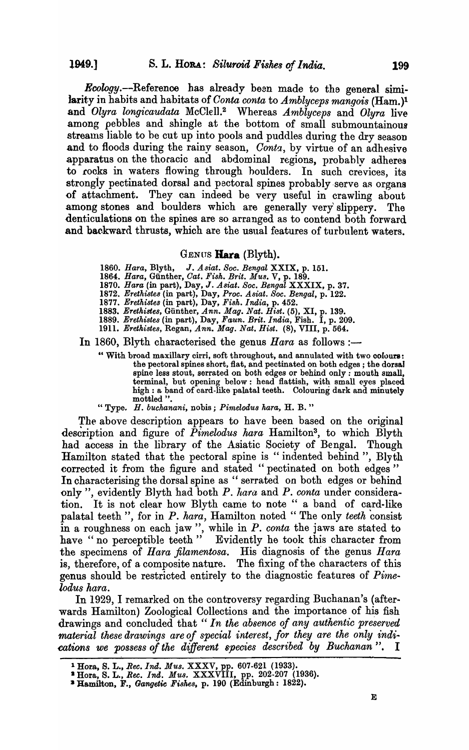Ecology.--Referenoo has already been made to the general similarity in habits and habitats of *Conta conta to Amblyceps mangois* (Ham.)<sup>1</sup> and *Olyra longicaudata* McCIel1.<sup>2</sup>Whereas *Amblyceps* and *Olyra* live among pebbles and shingle at the bottom of small submountainous streams liable to be cut up into pools and puddles during the dry season and to floods during the rainy season, *Conta*, by virtue of an adhesive apparatus on the thoracic and abdominal regions, probably adheres to rocks in waters flowing through houlders. In such crevices, its strongly pectinated dorsal and pectoral spines probably serve as organs of attachment. They can indeed be very useful in crawling about among stones and boulders which are generally very'slippery. The denticulations on the spines are so arranged as to contend both forward and backward thrusts, which are the usual features of turbulent waters.

### GENUS **Hara** (Blyth).

- *1860. Hara,* Blyth, J. *Asiat. Soc. Bengal* XXIX, p. 151.
- *1864. Hara,* Gunther, *Oat. Fish. Brit. Mus.* V, p. 189.
- *1870. Hara* (in part), Day, J. *Asiat. Soc. Bengal* XXXIX, p. 37.
- *1872. Erethistes* (in part), Day, *Proc. Asiat. Soc. Bengal,* p. 122.
- *1877. Erethistes* (in part), Day, *Fish. India,* p. 452.
- *1883. Erethistes,* Gunther, *Ann. Mag. Nat. Bist.* (5), XI, p. 139.
- *1889. Erethistes* (in part), Day, *Faun. Brit. India,* Fish. I, p. 209.
- 

1911. *Erethistes*, Regan, *Ann. Mag. Nat. Hist.* (8), VIII, p. 564.<br>In 1860, Blyth characterised the genus *Hara* as follows :-

- " With broad maxillary cirri, soft throughout, and annulated with two colours: the pectoral spines short, flat, and pectinated on both edges; the dorsal spine less stout, serrated on both edges or behind only: mouth small, terminal, but opening below: head flattish, with small eyes placed high: a band of card-like palatal teeth. Colouring dark and minutely mottled "
- "Type. *H. buchanani,* nobis; *Pimelodus hara,* H. B. "

The above description appears to have been based on the original description and figure of *Pimelodus hara* Hamilton3, to which Blyth had access in the library of the Asiatic Society of Bengal. Though Hamilton stated that the pectoral spine is "indented behind", Blyth corrected it from the figure and stated "pectinated on both edges" In characterising the dorsal spine as "serrated on both edges or behind only", evidently Blyth had both *P. hara* and *P. conta* under consideration. It is not clear how Blyth came to note " a band of card-like palatal teeth", for in *P. hara*, Hamilton noted "The only *teeth* consist in a roughness on each jaw", while in *P. conta* the jaws are stated to have "no perceptible teeth" Evidently he took this character from the specimens of *Hara filamentosa*. His diagnosis of the genus *Hara* is, therefore, of a composite nature. The fixing of the characters of this genus should be restricted entirely to the diagnostic features of *Pime .. lodus hara.* 

In 1929, I remarked on the controversy regarding Buchanan's (afterwards Hamilton) Zoological Collections and the importance of his fish drawings and concluded that" *In the absence of any authentic preserved material these drawings are of special interest, for they are the only indications we possess of the different species described by Buchanan".* I

<sup>1</sup>Hora, S. L., *Bee. Ind. Mus.* XXXV, pp. 607-621 (1933).

<sup>11</sup> Hora, S. L., *Ree. Ind. Mus.* XXXVIII, pp. 202-207 (1936).

<sup>&</sup>lt;sup>2</sup> Hamilton, F., *Gangetic Fishes*, p. 190 (Edinburgh: 1822).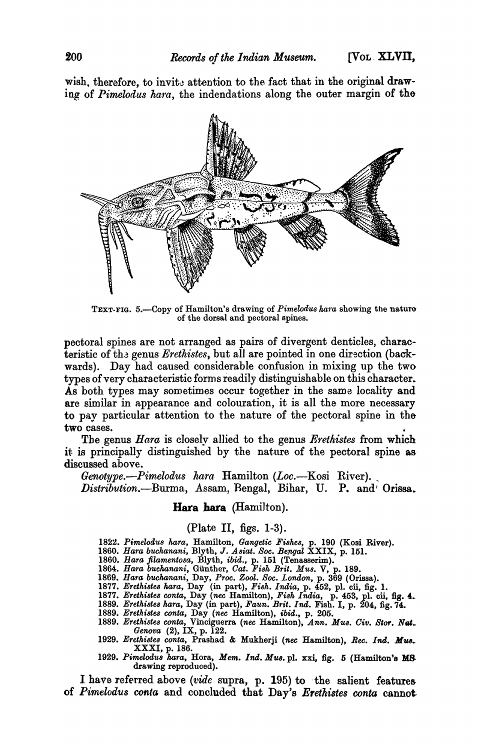wish, therefore, to invite attention to the fact that in the original drawing of *Pimelodus hara*, the indendations along the outer margin of the



TEXT-FIG. 5.-Copy of Hamilton's drawing of *Pimelodus hara* showing the nature of the dorsal and pectoral spines.

pectoral spines are not arranged as pairs of divergent denticles, characteristic of the genus *Erethistes*, but all are pointed in one direction (backwards). Day had caused considerable confusion in mixing up the two types of very characteristic forms readily distinguishable on this character. As both types may sometimes occur together in the same locality and are similar in appearance and colouration, it is all the more necessary to pay particular attention to the nature of the pectoral spine in the two cases.

The genus *Hara* is closely allied to the genus *Erethistes* from which it is principally distinguished by the nature of the pectoral spine as· discussed above.

*Genotype.—Pimelodus hara.* Hamilton *(Loc.*—Kosi River). *Distribution.-Burma,* Assam, Bengal, Bihar, U. P. and' Orissa.

### Hara hara (Hamilton).

### (Plate II, figs. 1-3).

*1822. PimeZoaus hara,* Hamilton, *Gangetic Fishes,* p. 190 (Kosi River).

- 1860. *Hara buchanani, Blyth, J. Asiat. Soc. Bengal* XXIX, p. 151.
- 1860. Hara filamentosa, Blyth, *ibid.*, p. 151 (Tenasserim).
- 1864. Hara buchanani, Günther, *Cat. Fish Brit. Mus.* V, p. 189.
- *1869. Hara buchanani,* Day, *Proc. Zool. Soc. London,* p. 369 (Orissa).
- *1877. Erethi8te8 kara,* Day (in part), *Fi8h. India,* p. 452, pl. eli, fig. 1.
- 1877. *Erethistes conta, Day (nec Hamilton), Fish India, p. 453, pl. cii, fig. 4.*<br>1889. *Erethistes hara, Day (in part), Faun. Brit. Ind. Fish. I, p. 204, fig. 74.*
- *1889. Erethistes wnta,* Day *(nec* Hamilton), *ibid.,* p. 205.
- *1889. Erethistes conta,* Vinciguerra *(nec* Hamilton), *Ann. Mus. Giv. BtO'f. Nat .. Genova* (2), IX, p. 122.
- *1929. Erethistes conta,* Prashad & Mukherji *(nee* Hamilton), *Ree. Ind.* Aiw.. XXXI, p. 186.
- *1929. Pimelodu8 kara,* Hora, *Mem. Ind. Mua.* pl. xxi, fig. 5 (Hamilton's M8 drawing reproduced).

I have referred above *(tvide* supra, p. 195) to ·the salient features of *Pimelodus ccmta* and concluded that Day's *Eretkistes conta* cannot,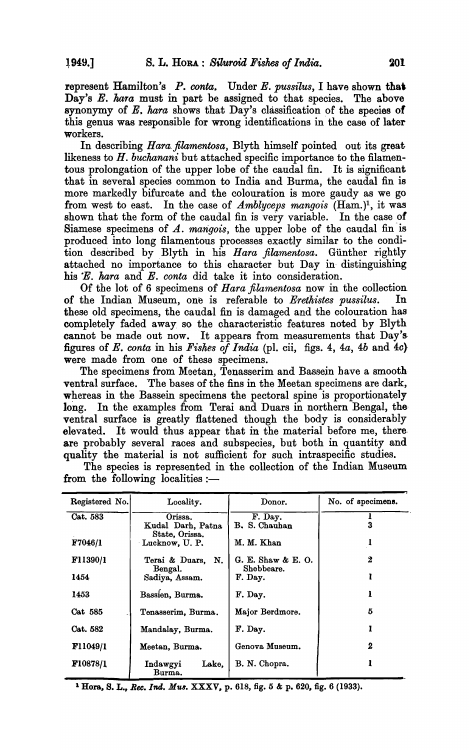represent Hamilton's *P. canta,* Under *E. pussilus,* I have shown that Day's  $E$ . hara must in part be assigned to that species. The above synonymy of E. *kara* shows that Day's classification of the species of this genus was responsible for wrong identifications in the case of later workers.

In describing Hara filamentosa, Blyth himself pointed out its great likeness to *H. buchanani* but attached specific importance to the filamentous prolongation of the upper lobe of the caudal fin. It is significant that in several species common to India and Burma, the caudal fin is more markedly bifurcate and the colouration is more gaudy as we go from west to east. In the case of *Amblyceps mangois* (Ham.)!, it was shown that the form of the caudal fin is very variable. In the case of Siamese specimens of *A. marigois,* the upper lobe of the caudal fin is produced into long filamentous processes exactly similar to the condition described by Blyth in his *Hara filamentosa*. Günther rightly attached no importance to this character but Day in distinguishing his *"E. hara* and *E. conta* did take it into consideration.

Of the lot of 6 specimens of *H ara jilamentosa* now in the collection of the Indian Museum, one is referable to *Erethistes pussilus.* In these old specimens., the caudal fin is damaged and the colouration has completely faded away so the characteristic features noted by Blyth cannot be made out now. It appears from measurements that Day's figures of *E. conta* in his *Fishes of India* (pI. cii, figs. 4, *4a, 4b* and *4c}*  were made from one of these specimens.

The specimens from Meetan, Tenasserim and Bassein have a smooth ventral surface. "The bases of the fins in the Meetan specimens are dark, whereas in the Bassein specimens the pectoral spine is proportionately long. In the examples from Terai and Duars in northern Bengal, the ventral surface is greatly flattened though the body is considerably elevated. It would thus appear that in the material before me, there. are probably several races and subspecies, but both in quantity and quality the material is not sufficient for such intraspecific studies.

| Registered No.  | Locality.          | Donor.             | No. of specimens. |
|-----------------|--------------------|--------------------|-------------------|
| Cat. 583        | Orissa.            | F. Day.            |                   |
|                 | Kudal Darh, Patna  | B. S. Chauhan      | 3                 |
|                 | State, Orissa.     |                    |                   |
| F7046/1         | Lucknow, U.P.      | M. M. Khan         |                   |
| F11390/1        | Terai & Duars, N.  | G. E. Shaw & E. O. | $\bf{2}$          |
|                 | Bengal.            | Shebbeare.         |                   |
| 1454            | Sadiya, Assam.     | F. Day.            |                   |
|                 |                    |                    |                   |
| 1453            | Bassien, Burma.    | F. Day.            |                   |
| Cat 585         | Tenasserim, Burma. | Major Berdmore.    | 5                 |
|                 |                    |                    |                   |
| Cat. 582        | Mandalay, Burma.   | F. Day.            |                   |
|                 |                    |                    |                   |
| F11049/1        | Meetan, Burma.     | Genova Museum.     | 2                 |
| <b>F10878/1</b> | Indawgyi<br>Lake.  | B. N. Chopra.      |                   |
|                 | Burma.             |                    |                   |

The species is represented in the collection of the Indian Museum from the following localities: $-$ 

1 Hom, S. L., *Bee. Ind. MU8.* XXXV, p. 618, fig. 5 & p. 620, fig. 6 (1933).